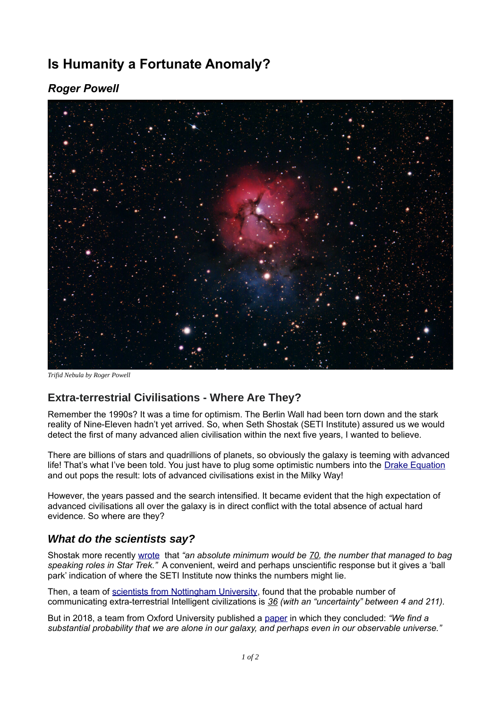# **Is Humanity a Fortunate Anomaly?**

## *Roger Powell*



*Trifid Nebula by Roger Powell*

### **Extra-terrestrial Civilisations - Where Are They?**

Remember the 1990s? It was a time for optimism. The Berlin Wall had been torn down and the stark reality of Nine-Eleven hadn't yet arrived. So, when Seth Shostak (SETI Institute) assured us we would detect the first of many advanced alien civilisation within the next five years, I wanted to believe.

There are billions of stars and quadrillions of planets, so obviously the galaxy is teeming with advanced life! That's what I've been told. You just have to plug some optimistic numbers into the [Drake Equation](https://en.wikipedia.org/wiki/Drake_equation) and out pops the result: lots of advanced civilisations exist in the Milky Way!

However, the years passed and the search intensified. It became evident that the high expectation of advanced civilisations all over the galaxy is in direct conflict with the total absence of actual hard evidence. So where are they?

#### *What do the scientists say?*

Shostak more recently [wrote](https://www.seti.org/how-many-alien-societies-are-there) that *"an absolute minimum would be 70, the number that managed to bag speaking roles in Star Trek."* A convenient, weird and perhaps unscientific response but it gives a 'ball park' indication of where the SETI Institute now thinks the numbers might lie.

Then, a team of [scientists from Nottingham University](https://iopscience.iop.org/article/10.3847/1538-4357/ab8225), found that the probable number of communicating extra-terrestrial Intelligent civilizations is *36 (with an "uncertainty" between 4 and 211).*

But in 2018, a team from Oxford University published a [paper](https://arxiv.org/pdf/1806.02404.pdf) in which they concluded: *"We find a substantial probability that we are alone in our galaxy, and perhaps even in our observable universe."*